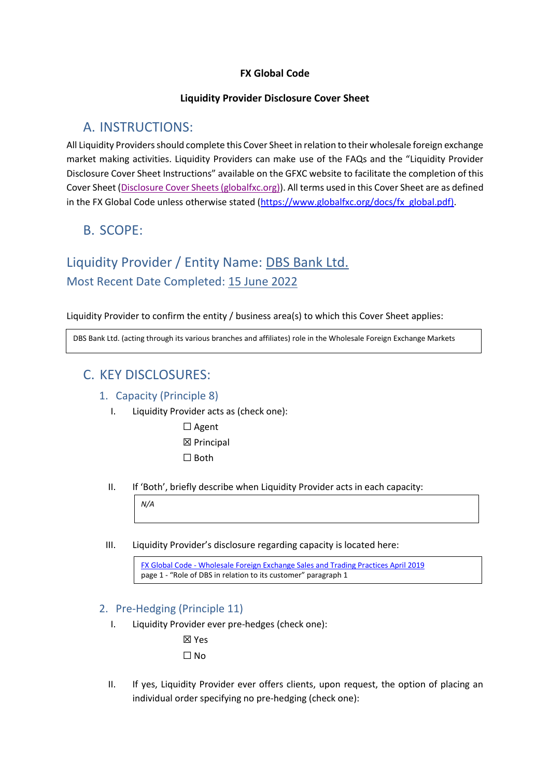# **FX Global Code**

# **Liquidity Provider Disclosure Cover Sheet**

# A. INSTRUCTIONS:

All Liquidity Providers should complete this Cover Sheet in relation to their wholesale foreign exchange market making activities. Liquidity Providers can make use of the FAQs and the "Liquidity Provider Disclosure Cover Sheet Instructions" available on the GFXC website to facilitate the completion of this Cover Sheet [\(Disclosure Cover Sheets \(globalfxc.org\)\)](https://www.globalfxc.org/disclosure_cover_sheets.htm?m=78%7C455). All terms used in this Cover Sheet are as defined in the FX Global Code unless otherwise stated [\(https://www.globalfxc.org/docs/fx\\_global.pdf\)](https://www.globalfxc.org/docs/fx_global.pdf).

# B. SCOPE:

# Liquidity Provider / Entity Name: DBS Bank Ltd. Most Recent Date Completed: 15 June 2022

Liquidity Provider to confirm the entity / business area(s) to which this Cover Sheet applies:

DBS Bank Ltd. (acting through its various branches and affiliates) role in the Wholesale Foreign Exchange Markets

# C. KEY DISCLOSURES:

*N/A*

# 1. Capacity (Principle 8)

- I. Liquidity Provider acts as (check one):
	- ☐ Agent ☒ Principal

☐ Both

II. If 'Both', briefly describe when Liquidity Provider acts in each capacity:

III. Liquidity Provider's disclosure regarding capacity is located here:

FX Global Code - [Wholesale Foreign Exchange Sales and Trading Practices April 2019](https://www.dbs.com.sg/documents/1038650/59715723/FX+Global+Code+-+Wholesale+Foreign+Exchange+Sales+and+Trading+Practices+April+2019.pdf/eceb4455-046e-9c17-5f8d-0f4760afa29f?t=1632909773296) page 1 - "Role of DBS in relation to its customer" paragraph 1

# 2. Pre-Hedging (Principle 11)

I. Liquidity Provider ever pre-hedges (check one):

☒ Yes ☐ No

II. If yes, Liquidity Provider ever offers clients, upon request, the option of placing an individual order specifying no pre-hedging (check one):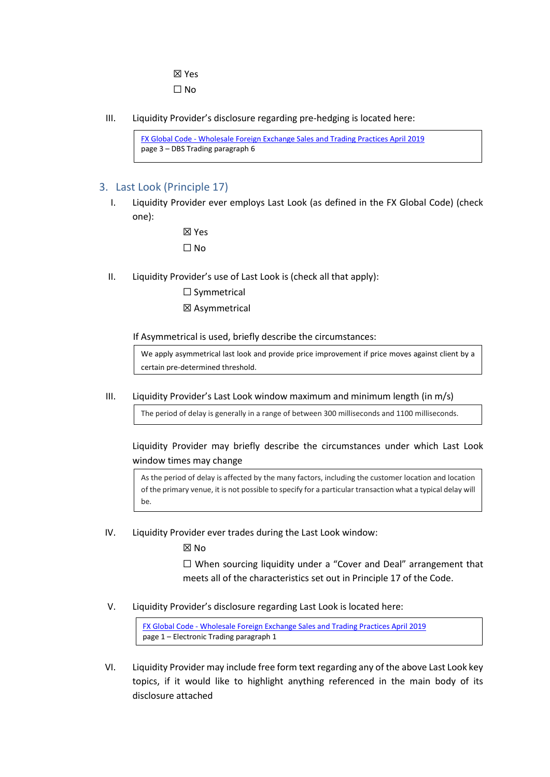☒ Yes  $\square$  No

III. Liquidity Provider's disclosure regarding pre-hedging is located here:

FX Global Code - [Wholesale Foreign Exchange Sales and Trading Practices April 2019](https://www.dbs.com.sg/documents/1038650/59715723/FX+Global+Code+-+Wholesale+Foreign+Exchange+Sales+and+Trading+Practices+April+2019.pdf/eceb4455-046e-9c17-5f8d-0f4760afa29f?t=1632909773296)  page 3 – DBS Trading paragraph 6

# 3. Last Look (Principle 17)

I. Liquidity Provider ever employs Last Look (as defined in the FX Global Code) (check one):

> ☒ Yes ☐ No

- II. Liquidity Provider's use of Last Look is (check all that apply):
	- ☐ Symmetrical
	- ☒ Asymmetrical

If Asymmetrical is used, briefly describe the circumstances:

We apply asymmetrical last look and provide price improvement if price moves against client by a certain pre-determined threshold.

III. Liquidity Provider's Last Look window maximum and minimum length (in m/s)

The period of delay is generally in a range of between 300 milliseconds and 1100 milliseconds.

Liquidity Provider may briefly describe the circumstances under which Last Look window times may change

As the period of delay is affected by the many factors, including the customer location and location of the primary venue, it is not possible to specify for a particular transaction what a typical delay will be.

IV. Liquidity Provider ever trades during the Last Look window:

☒ No

☐ When sourcing liquidity under a "Cover and Deal" arrangement that meets all of the characteristics set out in Principle 17 of the Code.

V. Liquidity Provider's disclosure regarding Last Look is located here:

FX Global Code - [Wholesale Foreign Exchange Sales and Trading Practices April 2019](https://www.dbs.com.sg/documents/1038650/59715723/FX+Global+Code+-+Wholesale+Foreign+Exchange+Sales+and+Trading+Practices+April+2019.pdf/eceb4455-046e-9c17-5f8d-0f4760afa29f?t=1632909773296) page 1 – Electronic Trading paragraph 1

VI. Liquidity Provider may include free form text regarding any of the above Last Look key topics, if it would like to highlight anything referenced in the main body of its disclosure attached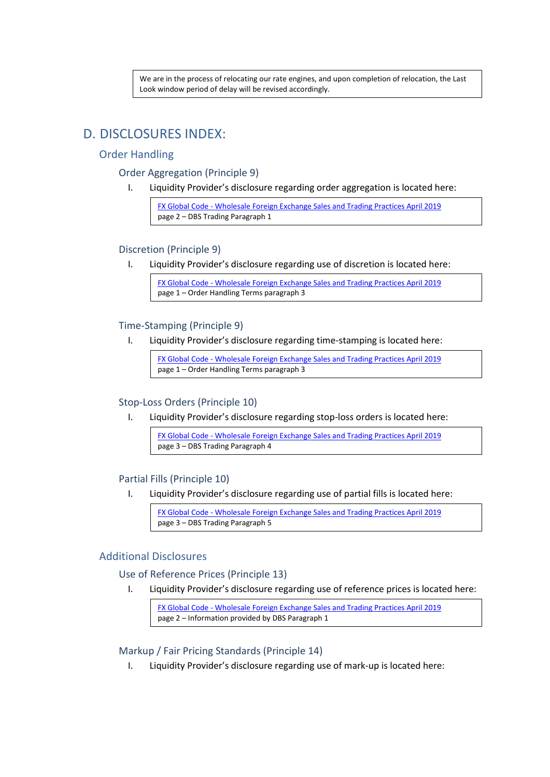We are in the process of relocating our rate engines, and upon completion of relocation, the Last Look window period of delay will be revised accordingly.

# D. DISCLOSURES INDEX:

### Order Handling

#### Order Aggregation (Principle 9)

I. Liquidity Provider's disclosure regarding order aggregation is located here:

FX Global Code - [Wholesale Foreign Exchange Sales and Trading Practices April 2019](https://www.dbs.com.sg/documents/1038650/59715723/FX+Global+Code+-+Wholesale+Foreign+Exchange+Sales+and+Trading+Practices+April+2019.pdf/eceb4455-046e-9c17-5f8d-0f4760afa29f?t=1632909773296)  page 2 – DBS Trading Paragraph 1

#### Discretion (Principle 9)

I. Liquidity Provider's disclosure regarding use of discretion is located here:

FX Global Code - [Wholesale Foreign Exchange Sales and Trading Practices April 2019](https://www.dbs.com.sg/documents/1038650/59715723/FX+Global+Code+-+Wholesale+Foreign+Exchange+Sales+and+Trading+Practices+April+2019.pdf/eceb4455-046e-9c17-5f8d-0f4760afa29f?t=1632909773296)  page 1 – Order Handling Terms paragraph 3

#### Time-Stamping (Principle 9)

I. Liquidity Provider's disclosure regarding time-stamping is located here:

FX Global Code - [Wholesale Foreign Exchange Sales and Trading Practices April 2019](https://www.dbs.com.sg/documents/1038650/59715723/FX+Global+Code+-+Wholesale+Foreign+Exchange+Sales+and+Trading+Practices+April+2019.pdf/eceb4455-046e-9c17-5f8d-0f4760afa29f?t=1632909773296) page 1 – Order Handling Terms paragraph 3

# Stop-Loss Orders (Principle 10)

I. Liquidity Provider's disclosure regarding stop-loss orders is located here:

FX Global Code - [Wholesale Foreign Exchange Sales and Trading Practices April 2019](https://www.dbs.com.sg/documents/1038650/59715723/FX+Global+Code+-+Wholesale+Foreign+Exchange+Sales+and+Trading+Practices+April+2019.pdf/eceb4455-046e-9c17-5f8d-0f4760afa29f?t=1632909773296)  page 3 – DBS Trading Paragraph 4

#### Partial Fills (Principle 10)

I. Liquidity Provider's disclosure regarding use of partial fills is located here:

FX Global Code - [Wholesale Foreign Exchange Sales and Trading Practices April 2019](https://www.dbs.com.sg/documents/1038650/59715723/FX+Global+Code+-+Wholesale+Foreign+Exchange+Sales+and+Trading+Practices+April+2019.pdf/eceb4455-046e-9c17-5f8d-0f4760afa29f?t=1632909773296)  page 3 – DBS Trading Paragraph 5

#### Additional Disclosures

#### Use of Reference Prices (Principle 13)

I. Liquidity Provider's disclosure regarding use of reference prices is located here:

FX Global Code - [Wholesale Foreign Exchange Sales and Trading Practices April 2019](https://www.dbs.com.sg/documents/1038650/59715723/FX+Global+Code+-+Wholesale+Foreign+Exchange+Sales+and+Trading+Practices+April+2019.pdf/eceb4455-046e-9c17-5f8d-0f4760afa29f?t=1632909773296) page 2 – Information provided by DBS Paragraph 1

# Markup / Fair Pricing Standards (Principle 14)

I. Liquidity Provider's disclosure regarding use of mark-up is located here: